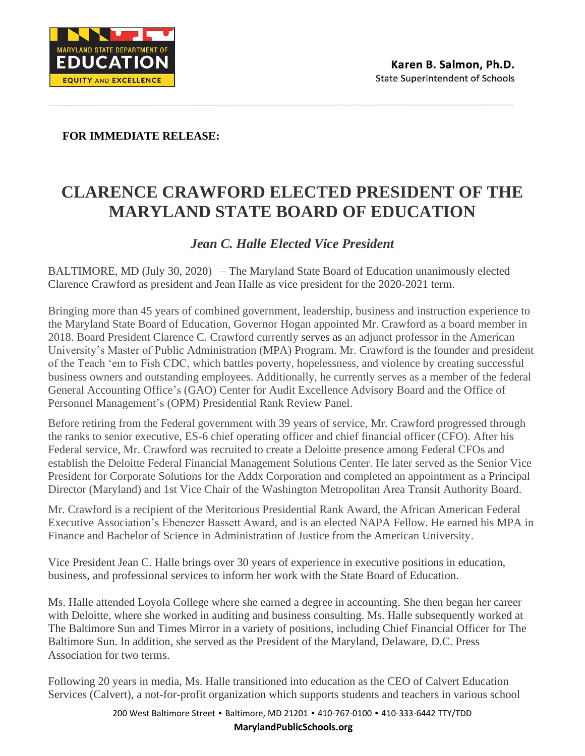

 **FOR IMMEDIATE RELEASE:** 

## **CLARENCE CRAWFORD ELECTED PRESIDENT OF THE MARYLAND STATE BOARD OF EDUCATION**

## *Jean C. Halle Elected Vice President*

BALTIMORE, MD (July 30, 2020) – The Maryland State Board of Education unanimously elected Clarence Crawford as president and Jean Halle as vice president for the 2020-2021 term.

Bringing more than 45 years of combined government, leadership, business and instruction experience to the Maryland State Board of Education, Governor Hogan appointed Mr. Crawford as a board member in 2018. Board President Clarence C. Crawford currently serves as an adjunct professor in the American University's Master of Public Administration (MPA) Program. Mr. Crawford is the founder and president of the Teach 'em to Fish CDC, which battles poverty, hopelessness, and violence by creating successful business owners and outstanding employees. Additionally, he currently serves as a member of the federal General Accounting Office's (GAO) Center for Audit Excellence Advisory Board and the Office of Personnel Management's (OPM) Presidential Rank Review Panel.

Before retiring from the Federal government with 39 years of service, Mr. Crawford progressed through the ranks to senior executive, ES-6 chief operating officer and chief financial officer (CFO). After his Federal service, Mr. Crawford was recruited to create a Deloitte presence among Federal CFOs and establish the Deloitte Federal Financial Management Solutions Center. He later served as the Senior Vice President for Corporate Solutions for the Addx Corporation and completed an appointment as a Principal Director (Maryland) and 1st Vice Chair of the Washington Metropolitan Area Transit Authority Board.

Mr. Crawford is a recipient of the Meritorious Presidential Rank Award, the African American Federal Executive Association's Ebenezer Bassett Award, and is an elected NAPA Fellow. He earned his MPA in Finance and Bachelor of Science in Administration of Justice from the American University.

Vice President Jean C. Halle brings over 30 years of experience in executive positions in education, business, and professional services to inform her work with the State Board of Education.

Ms. Halle attended Loyola College where she earned a degree in accounting. She then began her career with Deloitte, where she worked in auditing and business consulting. Ms. Halle subsequently worked at The Baltimore Sun and Times Mirror in a variety of positions, including Chief Financial Officer for The Baltimore Sun. In addition, she served as the President of the Maryland, Delaware, D.C. Press Association for two terms.

Following 20 years in media, Ms. Halle transitioned into education as the CEO of Calvert Education Services (Calvert), a not-for-profit organization which supports students and teachers in various school

> 200 West Baltimore Street • Baltimore, MD 21201 • 410-767-0100 • 410-333-6442 TTY/TDD **MarylandPublicSchools.org**